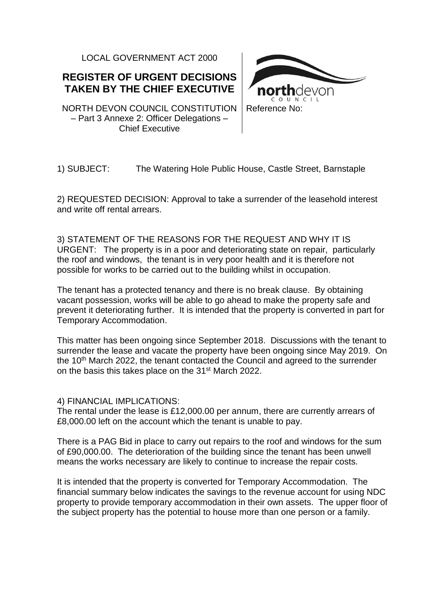LOCAL GOVERNMENT ACT 2000

## **REGISTER OF URGENT DECISIONS TAKEN BY THE CHIEF EXECUTIVE**

NORTH DEVON COUNCIL CONSTITUTION – Part 3 Annexe 2: Officer Delegations – Chief Executive



#### 1) SUBJECT: The Watering Hole Public House, Castle Street, Barnstaple

2) REQUESTED DECISION: Approval to take a surrender of the leasehold interest and write off rental arrears.

3) STATEMENT OF THE REASONS FOR THE REQUEST AND WHY IT IS URGENT: The property is in a poor and deteriorating state on repair, particularly the roof and windows, the tenant is in very poor health and it is therefore not possible for works to be carried out to the building whilst in occupation.

The tenant has a protected tenancy and there is no break clause. By obtaining vacant possession, works will be able to go ahead to make the property safe and prevent it deteriorating further. It is intended that the property is converted in part for Temporary Accommodation.

This matter has been ongoing since September 2018. Discussions with the tenant to surrender the lease and vacate the property have been ongoing since May 2019. On the 10<sup>th</sup> March 2022, the tenant contacted the Council and agreed to the surrender on the basis this takes place on the 31<sup>st</sup> March 2022.

#### 4) FINANCIAL IMPLICATIONS:

The rental under the lease is £12,000.00 per annum, there are currently arrears of £8,000.00 left on the account which the tenant is unable to pay.

There is a PAG Bid in place to carry out repairs to the roof and windows for the sum of £90,000.00. The deterioration of the building since the tenant has been unwell means the works necessary are likely to continue to increase the repair costs.

It is intended that the property is converted for Temporary Accommodation. The financial summary below indicates the savings to the revenue account for using NDC property to provide temporary accommodation in their own assets. The upper floor of the subject property has the potential to house more than one person or a family.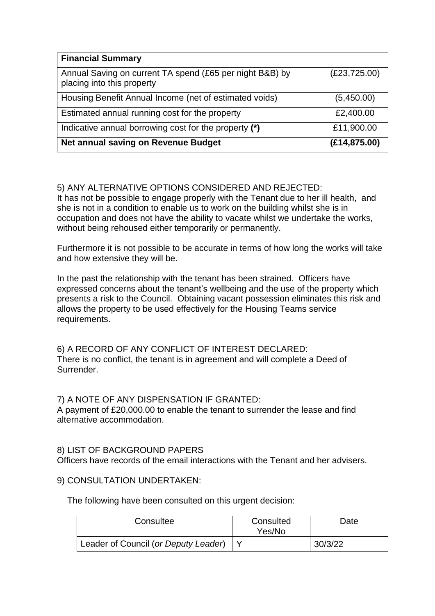| <b>Financial Summary</b>                                                               |               |
|----------------------------------------------------------------------------------------|---------------|
| Annual Saving on current TA spend (£65 per night B&B) by<br>placing into this property | (E23, 725.00) |
| Housing Benefit Annual Income (net of estimated voids)                                 | (5,450.00)    |
| Estimated annual running cost for the property                                         | £2,400.00     |
| Indicative annual borrowing cost for the property (*)                                  | £11,900.00    |
| Net annual saving on Revenue Budget                                                    | (E14, 875.00) |

## 5) ANY ALTERNATIVE OPTIONS CONSIDERED AND REJECTED:

It has not be possible to engage properly with the Tenant due to her ill health, and she is not in a condition to enable us to work on the building whilst she is in occupation and does not have the ability to vacate whilst we undertake the works, without being rehoused either temporarily or permanently.

Furthermore it is not possible to be accurate in terms of how long the works will take and how extensive they will be.

In the past the relationship with the tenant has been strained. Officers have expressed concerns about the tenant's wellbeing and the use of the property which presents a risk to the Council. Obtaining vacant possession eliminates this risk and allows the property to be used effectively for the Housing Teams service requirements.

6) A RECORD OF ANY CONFLICT OF INTEREST DECLARED: There is no conflict, the tenant is in agreement and will complete a Deed of Surrender.

#### 7) A NOTE OF ANY DISPENSATION IF GRANTED:

A payment of £20,000.00 to enable the tenant to surrender the lease and find alternative accommodation.

#### 8) LIST OF BACKGROUND PAPERS

Officers have records of the email interactions with the Tenant and her advisers.

#### 9) CONSULTATION UNDERTAKEN:

The following have been consulted on this urgent decision:

| Consultee                            | Consulted<br>Yes/No | Date    |
|--------------------------------------|---------------------|---------|
| Leader of Council (or Deputy Leader) |                     | 30/3/22 |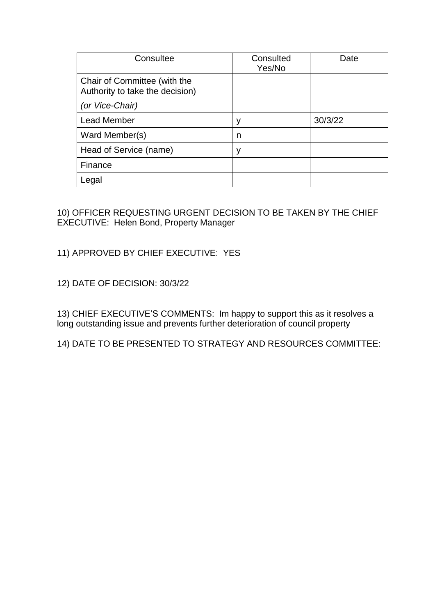| Consultee                                                       | Consulted<br>Yes/No | Date    |
|-----------------------------------------------------------------|---------------------|---------|
| Chair of Committee (with the<br>Authority to take the decision) |                     |         |
| (or Vice-Chair)                                                 |                     |         |
| <b>Lead Member</b>                                              | у                   | 30/3/22 |
| Ward Member(s)                                                  | n                   |         |
| Head of Service (name)                                          | ٧                   |         |
| Finance                                                         |                     |         |
| Legal                                                           |                     |         |

10) OFFICER REQUESTING URGENT DECISION TO BE TAKEN BY THE CHIEF EXECUTIVE: Helen Bond, Property Manager

## 11) APPROVED BY CHIEF EXECUTIVE: YES

12) DATE OF DECISION: 30/3/22

13) CHIEF EXECUTIVE'S COMMENTS: Im happy to support this as it resolves a long outstanding issue and prevents further deterioration of council property

14) DATE TO BE PRESENTED TO STRATEGY AND RESOURCES COMMITTEE: